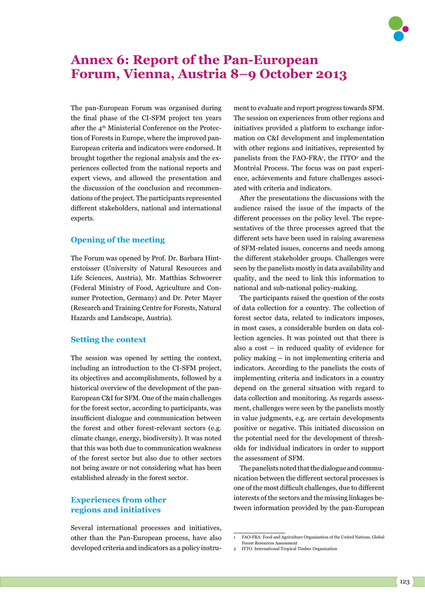

# **Annex 6: Report of the Pan-European Forum, Vienna, Austria 8–9 October 2013**

The pan-European Forum was organised during the final phase of the CI-SFM project ten years after the 4<sup>th</sup> Ministerial Conference on the Protection of Forests in Europe, where the improved pan-European criteria and indicators were endorsed. It brought together the regional analysis and the experiences collected from the national reports and expert views, and allowed the presentation and the discussion of the conclusion and recommendations of the project. The participants represented different stakeholders, national and international experts.

## **Opening of the meeting**

The Forum was opened by Prof. Dr. Barbara Hinterstoisser (University of Natural Resources and Life Sciences, Austria), Mr. Matthias Schwoerer (Federal Ministry of Food, Agriculture and Consumer Protection, Germany) and Dr. Peter Mayer (Research and Training Centre for Forests, Natural Hazards and Landscape, Austria).

## **Setting the context**

The session was opened by setting the context, including an introduction to the CI-SFM project, its objectives and accomplishments, followed by a historical overview of the development of the pan-European C&I for SFM. One of the main challenges for the forest sector, according to participants, was insufficient dialogue and communication between the forest and other forest-relevant sectors (e.g. climate change, energy, biodiversity). It was noted that this was both due to communication weakness of the forest sector but also due to other sectors not being aware or not considering what has been established already in the forest sector.

# **Experiences from other regions and initiatives**

Several international processes and initiatives, other than the Pan-European process, have also developed criteria and indicators as a policy instru-

ment to evaluate and report progress towards SFM. The session on experiences from other regions and initiatives provided a platform to exchange information on C&I development and implementation with other regions and initiatives, represented by panelists from the  $FAO-FRA$ <sup>1</sup>, the ITTO<sup>2</sup> and the Montréal Process. The focus was on past experience, achievements and future challenges associated with criteria and indicators.

After the presentations the discussions with the audience raised the issue of the impacts of the different processes on the policy level. The representatives of the three processes agreed that the different sets have been used in raising awareness of SFM-related issues, concerns and needs among the different stakeholder groups. Challenges were seen by the panelists mostly in data availability and quality, and the need to link this information to national and sub-national policy-making.

The participants raised the question of the costs of data collection for a country. The collection of forest sector data, related to indicators imposes, in most cases, a considerable burden on data collection agencies. It was pointed out that there is also a cost – in reduced quality of evidence for policy making – in not implementing criteria and indicators. According to the panelists the costs of implementing criteria and indicators in a country depend on the general situation with regard to data collection and monitoring. As regards assessment, challenges were seen by the panelists mostly in value judgments, e.g. are certain developments positive or negative. This initiated discussion on the potential need for the development of thresholds for individual indicators in order to support the assessment of SFM.

The panelists noted that the dialogue and communication between the different sectoral processes is one of the most difficult challenges, due to different interests of the sectors and the missing linkages between information provided by the pan-European

<sup>1</sup> FAO-FRA: Food and Agriculture Organization of the United Nations, Global Forest Resources Assessment

<sup>2</sup> ITTO: International Tropical Timber Organization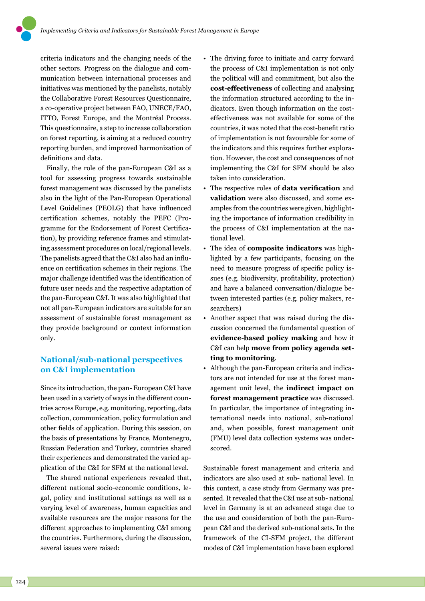criteria indicators and the changing needs of the other sectors. Progress on the dialogue and communication between international processes and initiatives was mentioned by the panelists, notably the Collaborative Forest Resources Questionnaire, a co-operative project between FAO, UNECE/FAO, ITTO, Forest Europe, and the Montréal Process. This questionnaire, a step to increase collaboration on forest reporting, is aiming at a reduced country reporting burden, and improved harmonization of definitions and data.

Finally, the role of the pan-European C&I as a tool for assessing progress towards sustainable forest management was discussed by the panelists also in the light of the Pan-European Operational Level Guidelines (PEOLG) that have influenced certification schemes, notably the PEFC (Programme for the Endorsement of Forest Certification), by providing reference frames and stimulating assessment procedures on local/regional levels. The panelists agreed that the C&I also had an influence on certification schemes in their regions. The major challenge identified was the identification of future user needs and the respective adaptation of the pan-European C&I. It was also highlighted that not all pan-European indicators are suitable for an assessment of sustainable forest management as they provide background or context information only.

# **National/sub-national perspectives on C&I implementation**

Since its introduction, the pan- European C&I have been used in a variety of ways in the different countries across Europe, e.g. monitoring, reporting, data collection, communication, policy formulation and other fields of application. During this session, on the basis of presentations by France, Montenegro, Russian Federation and Turkey, countries shared their experiences and demonstrated the varied application of the C&I for SFM at the national level.

The shared national experiences revealed that, different national socio-economic conditions, legal, policy and institutional settings as well as a varying level of awareness, human capacities and available resources are the major reasons for the different approaches to implementing C&I among the countries. Furthermore, during the discussion, several issues were raised:

- The driving force to initiate and carry forward the process of C&I implementation is not only the political will and commitment, but also the **cost-effectiveness** of collecting and analysing the information structured according to the indicators. Even though information on the costeffectiveness was not available for some of the countries, it was noted that the cost-benefit ratio of implementation is not favourable for some of the indicators and this requires further exploration. However, the cost and consequences of not implementing the C&I for SFM should be also taken into consideration.
- The respective roles of **data verification** and **validation** were also discussed, and some examples from the countries were given, highlighting the importance of information credibility in the process of C&I implementation at the national level.
- The idea of **composite indicators** was highlighted by a few participants, focusing on the need to measure progress of specific policy issues (e.g. biodiversity, profitability, protection) and have a balanced conversation/dialogue between interested parties (e.g. policy makers, researchers)
- Another aspect that was raised during the discussion concerned the fundamental question of **evidence-based policy making** and how it C&I can help **move from policy agenda setting to monitoring**.
- Although the pan-European criteria and indicators are not intended for use at the forest management unit level, the **indirect impact on forest management practice** was discussed. In particular, the importance of integrating international needs into national, sub-national and, when possible, forest management unit (FMU) level data collection systems was underscored.

Sustainable forest management and criteria and indicators are also used at sub- national level. In this context, a case study from Germany was presented. It revealed that the C&I use at sub- national level in Germany is at an advanced stage due to the use and consideration of both the pan-European C&I and the derived sub-national sets. In the framework of the CI-SFM project, the different modes of C&I implementation have been explored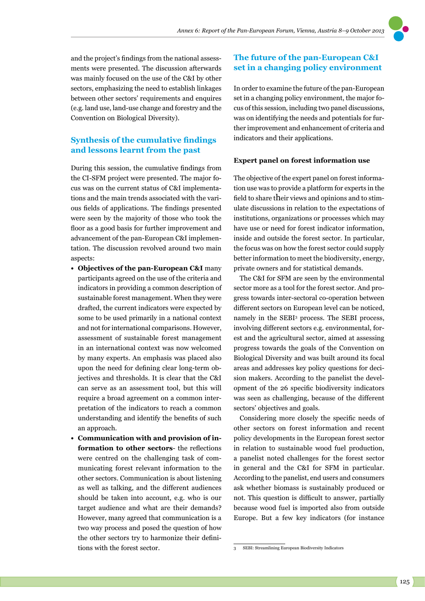

## **Synthesis of the cumulative findings and lessons learnt from the past**

During this session, the cumulative findings from the CI-SFM project were presented. The major focus was on the current status of C&I implementations and the main trends associated with the various fields of applications. The findings presented were seen by the majority of those who took the floor as a good basis for further improvement and advancement of the pan-European C&I implementation. The discussion revolved around two main aspects:

- **• Objectives of the pan-European C&I** many participants agreed on the use of the criteria and indicators in providing a common description of sustainable forest management. When they were drafted, the current indicators were expected by some to be used primarily in a national context and not for international comparisons. However, assessment of sustainable forest management in an international context was now welcomed by many experts. An emphasis was placed also upon the need for defining clear long-term objectives and thresholds. It is clear that the C&I can serve as an assessment tool, but this will require a broad agreement on a common interpretation of the indicators to reach a common understanding and identify the benefits of such an approach.
- **• Communication with and provision of information to other sectors**- the reflections were centred on the challenging task of communicating forest relevant information to the other sectors. Communication is about listening as well as talking, and the different audiences should be taken into account, e.g. who is our target audience and what are their demands? However, many agreed that communication is a two way process and posed the question of how the other sectors try to harmonize their definitions with the forest sector.

## **The future of the pan-European C&I set in a changing policy environment**

In order to examine the future of the pan-European set in a changing policy environment, the major focus of this session, including two panel discussions, was on identifying the needs and potentials for further improvement and enhancement of criteria and indicators and their applications.

#### **Expert panel on forest information use**

The objective of the expert panel on forest information use was to provide a platform for experts in the field to share their views and opinions and to stimulate discussions in relation to the expectations of institutions, organizations or processes which may have use or need for forest indicator information, inside and outside the forest sector. In particular, the focus was on how the forest sector could supply better information to meet the biodiversity, energy, private owners and for statistical demands.

The C&I for SFM are seen by the environmental sector more as a tool for the forest sector. And progress towards inter-sectoral co-operation between different sectors on European level can be noticed, namely in the SEBI<sup>3</sup> process. The SEBI process, involving different sectors e.g. environmental, forest and the agricultural sector, aimed at assessing progress towards the goals of the Convention on Biological Diversity and was built around its focal areas and addresses key policy questions for decision makers. According to the panelist the development of the 26 specific biodiversity indicators was seen as challenging, because of the different sectors' objectives and goals.

Considering more closely the specific needs of other sectors on forest information and recent policy developments in the European forest sector in relation to sustainable wood fuel production, a panelist noted challenges for the forest sector in general and the C&I for SFM in particular. According to the panelist, end users and consumers ask whether biomass is sustainably produced or not. This question is difficult to answer, partially because wood fuel is imported also from outside Europe. But a few key indicators (for instance

<sup>3</sup> SEBI: Streamlining European Biodiversity Indicators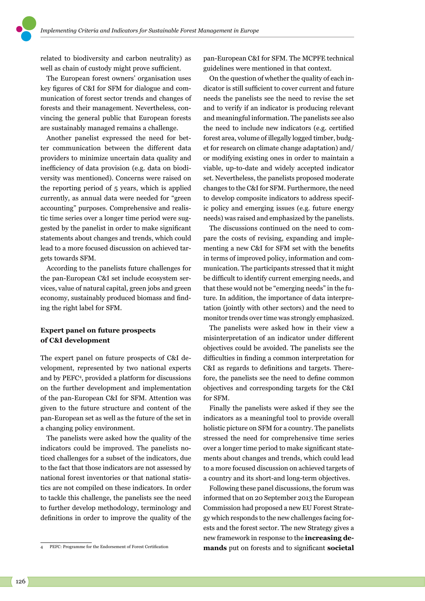related to biodiversity and carbon neutrality) as well as chain of custody might prove sufficient.

The European forest owners' organisation uses key figures of C&I for SFM for dialogue and communication of forest sector trends and changes of forests and their management. Nevertheless, convincing the general public that European forests are sustainably managed remains a challenge.

Another panelist expressed the need for better communication between the different data providers to minimize uncertain data quality and inefficiency of data provision (e.g. data on biodiversity was mentioned). Concerns were raised on the reporting period of 5 years, which is applied currently, as annual data were needed for "green accounting" purposes. Comprehensive and realistic time series over a longer time period were suggested by the panelist in order to make significant statements about changes and trends, which could lead to a more focused discussion on achieved targets towards SFM.

According to the panelists future challenges for the pan-European C&I set include ecosystem services, value of natural capital, green jobs and green economy, sustainably produced biomass and finding the right label for SFM.

## **Expert panel on future prospects of C&I development**

The expert panel on future prospects of C&I development, represented by two national experts and by PEFC4 , provided a platform for discussions on the further development and implementation of the pan-European C&I for SFM. Attention was given to the future structure and content of the pan-European set as well as the future of the set in a changing policy environment.

The panelists were asked how the quality of the indicators could be improved. The panelists noticed challenges for a subset of the indicators, due to the fact that those indicators are not assessed by national forest inventories or that national statistics are not compiled on these indicators. In order to tackle this challenge, the panelists see the need to further develop methodology, terminology and definitions in order to improve the quality of the

pan-European C&I for SFM. The MCPFE technical guidelines were mentioned in that context.

On the question of whether the quality of each indicator is still sufficient to cover current and future needs the panelists see the need to revise the set and to verify if an indicator is producing relevant and meaningful information. The panelists see also the need to include new indicators (e.g. certified forest area, volume of illegally logged timber, budget for research on climate change adaptation) and/ or modifying existing ones in order to maintain a viable, up-to-date and widely accepted indicator set. Nevertheless, the panelists proposed moderate changes to the C&I for SFM. Furthermore, the need to develop composite indicators to address specific policy and emerging issues (e.g. future energy needs) was raised and emphasized by the panelists.

The discussions continued on the need to compare the costs of revising, expanding and implementing a new C&I for SFM set with the benefits in terms of improved policy, information and communication. The participants stressed that it might be difficult to identify current emerging needs, and that these would not be "emerging needs" in the future. In addition, the importance of data interpretation (jointly with other sectors) and the need to monitor trends over time was strongly emphasized.

The panelists were asked how in their view a misinterpretation of an indicator under different objectives could be avoided. The panelists see the difficulties in finding a common interpretation for C&I as regards to definitions and targets. Therefore, the panelists see the need to define common objectives and corresponding targets for the C&I for SFM.

Finally the panelists were asked if they see the indicators as a meaningful tool to provide overall holistic picture on SFM for a country. The panelists stressed the need for comprehensive time series over a longer time period to make significant statements about changes and trends, which could lead to a more focused discussion on achieved targets of a country and its short-and long-term objectives.

Following these panel discussions, the forum was informed that on 20 September 2013 the European Commission had proposed a new EU Forest Strategy which responds to the new challenges facing forests and the forest sector. The new Strategy gives a new framework in response to the **increasing demands** put on forests and to significant **societal** 

<sup>4</sup> PEFC: Programme for the Endorsement of Forest Certification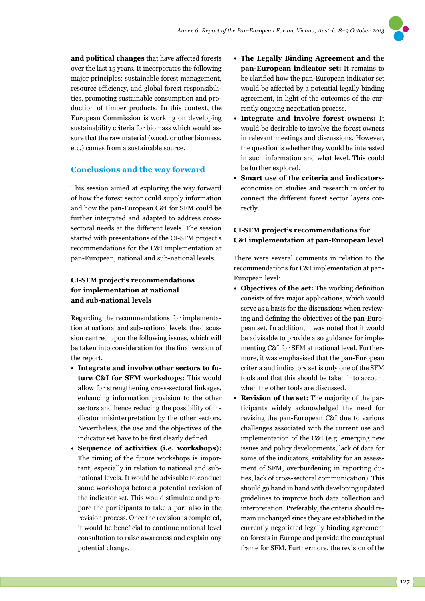**and political changes** that have affected forests over the last 15 years. It incorporates the following major principles: sustainable forest management, resource efficiency, and global forest responsibilities, promoting sustainable consumption and production of timber products. In this context, the European Commission is working on developing sustainability criteria for biomass which would assure that the raw material (wood, or other biomass, etc.) comes from a sustainable source.

## **Conclusions and the way forward**

This session aimed at exploring the way forward of how the forest sector could supply information and how the pan-European C&I for SFM could be further integrated and adapted to address crosssectoral needs at the different levels. The session started with presentations of the CI-SFM project's recommendations for the C&I implementation at pan-European, national and sub-national levels.

## **CI-SFM project's recommendations for implementation at national and sub-national levels**

Regarding the recommendations for implementation at national and sub-national levels, the discussion centred upon the following issues, which will be taken into consideration for the final version of the report.

- **• Integrate and involve other sectors to future C&I for SFM workshops:** This would allow for strengthening cross-sectoral linkages, enhancing information provision to the other sectors and hence reducing the possibility of indicator misinterpretation by the other sectors. Nevertheless, the use and the objectives of the indicator set have to be first clearly defined.
- **• Sequence of activities (i.e. workshops):** The timing of the future workshops is important, especially in relation to national and subnational levels. It would be advisable to conduct some workshops before a potential revision of the indicator set. This would stimulate and prepare the participants to take a part also in the revision process. Once the revision is completed, it would be beneficial to continue national level consultation to raise awareness and explain any potential change.
- **• The Legally Binding Agreement and the pan-European indicator set:** It remains to be clarified how the pan-European indicator set would be affected by a potential legally binding agreement, in light of the outcomes of the currently ongoing negotiation process.
- **• Integrate and involve forest owners:** It would be desirable to involve the forest owners in relevant meetings and discussions. However, the question is whether they would be interested in such information and what level. This could be further explored.
- **• Smart use of the criteria and indicators**economise on studies and research in order to connect the different forest sector layers correctly.

# **CI-SFM project's recommendations for C&I implementation at pan-European level**

There were several comments in relation to the recommendations for C&I implementation at pan-European level:

- **• Objectives of the set:** The working definition consists of five major applications, which would serve as a basis for the discussions when reviewing and defining the objectives of the pan-European set. In addition, it was noted that it would be advisable to provide also guidance for implementing C&I for SFM at national level. Furthermore, it was emphasised that the pan-European criteria and indicators set is only one of the SFM tools and that this should be taken into account when the other tools are discussed.
- **• Revision of the set:** The majority of the participants widely acknowledged the need for revising the pan-European C&I due to various challenges associated with the current use and implementation of the C&I (e.g. emerging new issues and policy developments, lack of data for some of the indicators, suitability for an assessment of SFM, overburdening in reporting duties, lack of cross-sectoral communication). This should go hand in hand with developing updated guidelines to improve both data collection and interpretation. Preferably, the criteria should remain unchanged since they are established in the currently negotiated legally binding agreement on forests in Europe and provide the conceptual frame for SFM. Furthermore, the revision of the